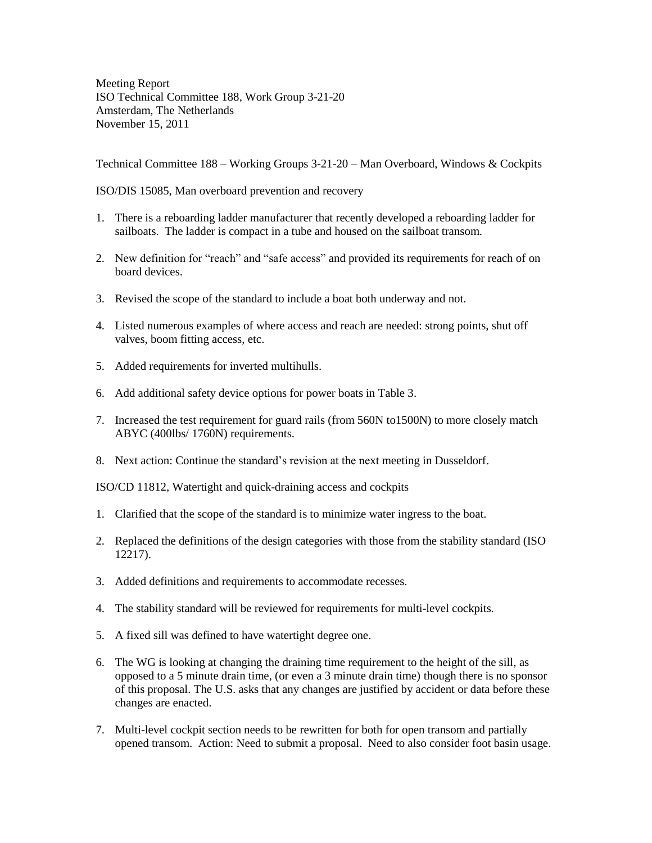Meeting Report ISO Technical Committee 188, Work Group 3-21-20 Amsterdam, The Netherlands November 15, 2011

Technical Committee 188 – Working Groups 3-21-20 – Man Overboard, Windows & Cockpits

ISO/DIS 15085, Man overboard prevention and recovery

- 1. There is a reboarding ladder manufacturer that recently developed a reboarding ladder for sailboats. The ladder is compact in a tube and housed on the sailboat transom.
- 2. New definition for "reach" and "safe access" and provided its requirements for reach of on board devices.
- 3. Revised the scope of the standard to include a boat both underway and not.
- 4. Listed numerous examples of where access and reach are needed: strong points, shut off valves, boom fitting access, etc.
- 5. Added requirements for inverted multihulls.
- 6. Add additional safety device options for power boats in Table 3.
- 7. Increased the test requirement for guard rails (from 560N to1500N) to more closely match ABYC (400lbs/ 1760N) requirements.
- 8. Next action: Continue the standard's revision at the next meeting in Dusseldorf.

ISO/CD 11812, Watertight and quick-draining access and cockpits

- 1. Clarified that the scope of the standard is to minimize water ingress to the boat.
- 2. Replaced the definitions of the design categories with those from the stability standard (ISO 12217).
- 3. Added definitions and requirements to accommodate recesses.
- 4. The stability standard will be reviewed for requirements for multi-level cockpits.
- 5. A fixed sill was defined to have watertight degree one.
- 6. The WG is looking at changing the draining time requirement to the height of the sill, as opposed to a 5 minute drain time, (or even a 3 minute drain time) though there is no sponsor of this proposal. The U.S. asks that any changes are justified by accident or data before these changes are enacted.
- 7. Multi-level cockpit section needs to be rewritten for both for open transom and partially opened transom. Action: Need to submit a proposal. Need to also consider foot basin usage.